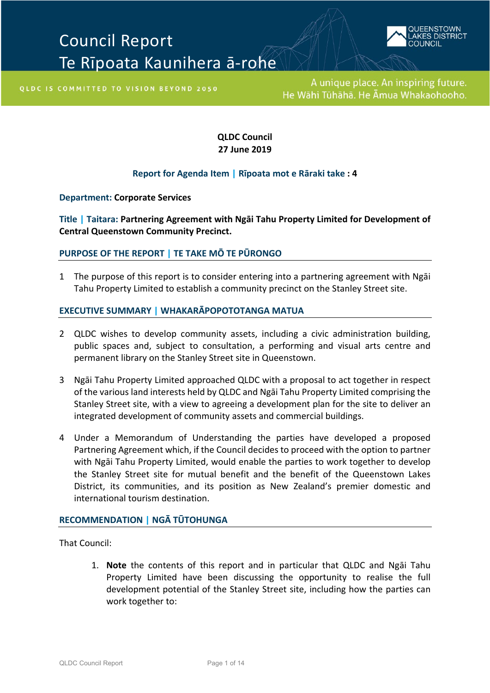# Council Report Te Rīpoata Kaunihera ā-rohe



OLDC IS COMMITTED TO VISION BEYOND 2050

**QLDC Council 27 June 2019**

## **Report for Agenda Item | Rīpoata mot e Rāraki take : 4**

**Department: Corporate Services**

**Title | Taitara: Partnering Agreement with Ngāi Tahu Property Limited for Development of Central Queenstown Community Precinct.**

#### **[PURPOSE OF THE REPORT |](file://sqldcsvr02/share/KEEP/Agenda%20Report%20Template/Practice%20Notes%20for%20Writing%20Agenda%20Reports%20Mar%202015.pdf) TE TAKE MŌ TE PŪRONGO**

1 The purpose of this report is to consider entering into a partnering agreement with Ngāi Tahu Property Limited to establish a community precinct on the Stanley Street site.

#### **EXECUTIVE SUMMARY | W[HAKARĀPOPOTOTANGA MATUA](file://sqldcsvr02/share/KEEP/Agenda%20Report%20Template/Practice%20Notes%20for%20Writing%20Agenda%20Reports%20Mar%202015.pdf)**

- 2 QLDC wishes to develop community assets, including a civic administration building, public spaces and, subject to consultation, a performing and visual arts centre and permanent library on the Stanley Street site in Queenstown.
- 3 Ngāi Tahu Property Limited approached QLDC with a proposal to act together in respect of the various land interests held by QLDC and Ngāi Tahu Property Limited comprising the Stanley Street site, with a view to agreeing a development plan for the site to deliver an integrated development of community assets and commercial buildings.
- 4 Under a Memorandum of Understanding the parties have developed a proposed Partnering Agreement which, if the Council decides to proceed with the option to partner with Ngāi Tahu Property Limited, would enable the parties to work together to develop the Stanley Street site for mutual benefit and the benefit of the Queenstown Lakes District, its communities, and its position as New Zealand's premier domestic and international tourism destination.

#### **[RECOMMENDATION](file://sqldcsvr02/share/KEEP/Agenda%20Report%20Template/Practice%20Notes%20for%20Writing%20Agenda%20Reports%20Mar%202015.pdf) | NGĀ TŪTOHUNGA**

That Council:

1. **Note** the contents of this report and in particular that QLDC and Ngāi Tahu Property Limited have been discussing the opportunity to realise the full development potential of the Stanley Street site, including how the parties can work together to: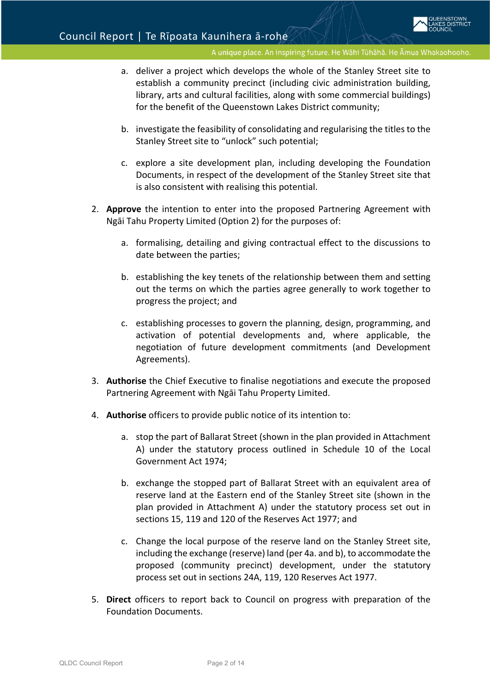- a. deliver a project which develops the whole of the Stanley Street site to establish a community precinct (including civic administration building, library, arts and cultural facilities, along with some commercial buildings) for the benefit of the Queenstown Lakes District community;
- b. investigate the feasibility of consolidating and regularising the titles to the Stanley Street site to "unlock" such potential;
- c. explore a site development plan, including developing the Foundation Documents, in respect of the development of the Stanley Street site that is also consistent with realising this potential.
- 2. **Approve** the intention to enter into the proposed Partnering Agreement with Ngāi Tahu Property Limited (Option 2) for the purposes of:
	- a. formalising, detailing and giving contractual effect to the discussions to date between the parties;
	- b. establishing the key tenets of the relationship between them and setting out the terms on which the parties agree generally to work together to progress the project; and
	- c. establishing processes to govern the planning, design, programming, and activation of potential developments and, where applicable, the negotiation of future development commitments (and Development Agreements).
- 3. **Authorise** the Chief Executive to finalise negotiations and execute the proposed Partnering Agreement with Ngāi Tahu Property Limited.
- 4. **Authorise** officers to provide public notice of its intention to:
	- a. stop the part of Ballarat Street (shown in the plan provided in Attachment A) under the statutory process outlined in Schedule 10 of the Local Government Act 1974;
	- b. exchange the stopped part of Ballarat Street with an equivalent area of reserve land at the Eastern end of the Stanley Street site (shown in the plan provided in Attachment A) under the statutory process set out in sections 15, 119 and 120 of the Reserves Act 1977; and
	- c. Change the local purpose of the reserve land on the Stanley Street site, including the exchange (reserve) land (per 4a. and b), to accommodate the proposed (community precinct) development, under the statutory process set out in sections 24A, 119, 120 Reserves Act 1977.
- 5. **Direct** officers to report back to Council on progress with preparation of the Foundation Documents.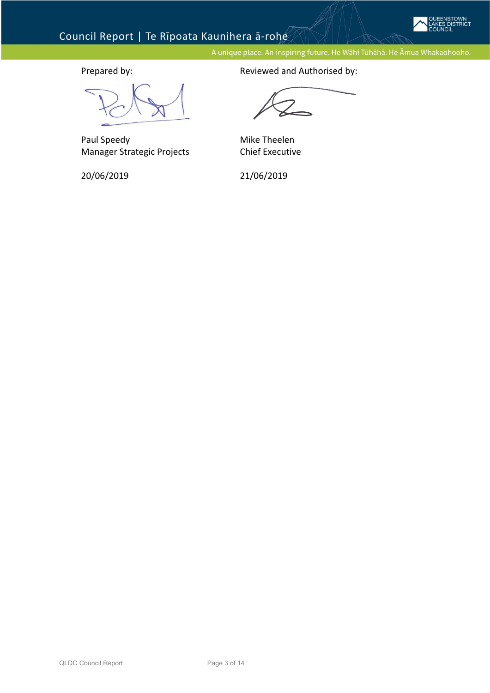

# Council Report | Te Rīpoata Kaunihera ā-rohe

A unique place. An inspiring future. He Wāhi Tūhāhā. He Āmua Whakaohooho.

Paul Speedy Manager Strategic Projects

20/06/2019

Prepared by: The parent of the Reviewed and Authorised by:

Mike Theelen Chief Executive

21/06/2019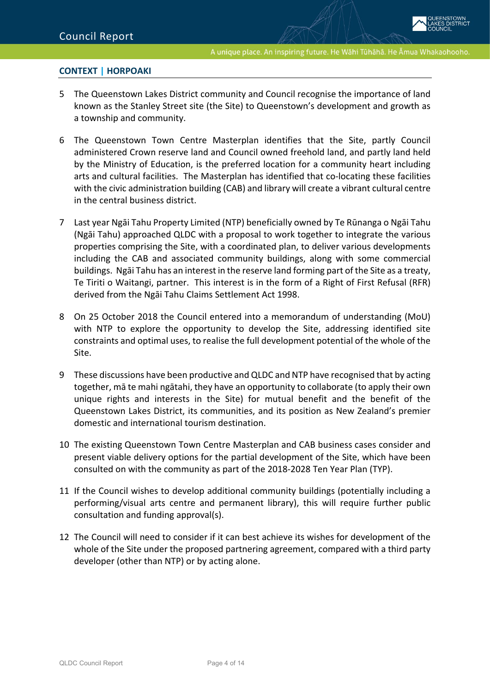### **CONTEXT | [HORPOAKI](file://sqldcsvr02/share/KEEP/Agenda%20Report%20Template/Practice%20Notes%20for%20Writing%20Agenda%20Reports%20Mar%202015.pdf)**

- 5 The Queenstown Lakes District community and Council recognise the importance of land known as the Stanley Street site (the Site) to Queenstown's development and growth as a township and community.
- 6 The Queenstown Town Centre Masterplan identifies that the Site, partly Council administered Crown reserve land and Council owned freehold land, and partly land held by the Ministry of Education, is the preferred location for a community heart including arts and cultural facilities. The Masterplan has identified that co-locating these facilities with the civic administration building (CAB) and library will create a vibrant cultural centre in the central business district.
- 7 Last year Ngāi Tahu Property Limited (NTP) beneficially owned by Te Rūnanga o Ngāi Tahu (Ngāi Tahu) approached QLDC with a proposal to work together to integrate the various properties comprising the Site, with a coordinated plan, to deliver various developments including the CAB and associated community buildings, along with some commercial buildings. Ngāi Tahu has an interest in the reserve land forming part of the Site as a treaty, Te Tiriti o Waitangi, partner. This interest is in the form of a Right of First Refusal (RFR) derived from the Ngāi Tahu Claims Settlement Act 1998.
- 8 On 25 October 2018 the Council entered into a memorandum of understanding (MoU) with NTP to explore the opportunity to develop the Site, addressing identified site constraints and optimal uses, to realise the full development potential of the whole of the Site.
- 9 These discussions have been productive and QLDC and NTP have recognised that by acting together, mā te mahi ngātahi, they have an opportunity to collaborate (to apply their own unique rights and interests in the Site) for mutual benefit and the benefit of the Queenstown Lakes District, its communities, and its position as New Zealand's premier domestic and international tourism destination.
- 10 The existing Queenstown Town Centre Masterplan and CAB business cases consider and present viable delivery options for the partial development of the Site, which have been consulted on with the community as part of the 2018-2028 Ten Year Plan (TYP).
- 11 If the Council wishes to develop additional community buildings (potentially including a performing/visual arts centre and permanent library), this will require further public consultation and funding approval(s).
- 12 The Council will need to consider if it can best achieve its wishes for development of the whole of the Site under the proposed partnering agreement, compared with a third party developer (other than NTP) or by acting alone.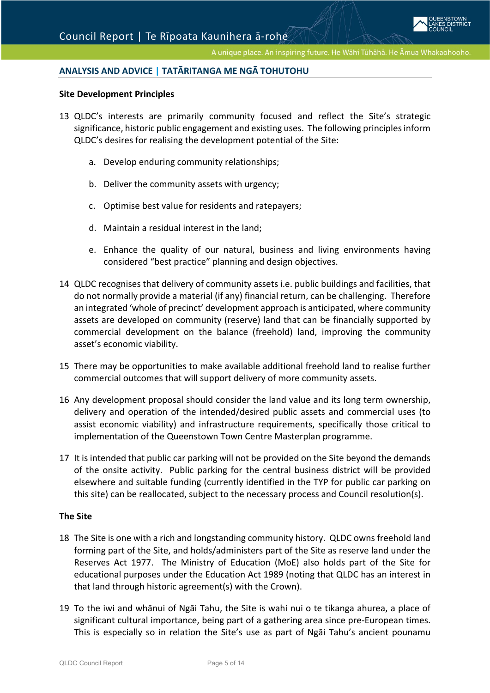### **ANALYSIS AND ADVICE | [TATĀRITANGA ME NGĀ TOHUTOHU](file://sqldcsvr02/share/KEEP/Agenda%20Report%20Template/Practice%20Notes%20for%20Writing%20Agenda%20Reports%20Mar%202015.pdf)**

#### **Site Development Principles**

- 13 QLDC's interests are primarily community focused and reflect the Site's strategic significance, historic public engagement and existing uses. The following principles inform QLDC's desires for realising the development potential of the Site:
	- a. Develop enduring community relationships;
	- b. Deliver the community assets with urgency;
	- c. Optimise best value for residents and ratepayers;
	- d. Maintain a residual interest in the land;
	- e. Enhance the quality of our natural, business and living environments having considered "best practice" planning and design objectives.
- 14 QLDC recognises that delivery of community assets i.e. public buildings and facilities, that do not normally provide a material (if any) financial return, can be challenging. Therefore an integrated 'whole of precinct' development approach is anticipated, where community assets are developed on community (reserve) land that can be financially supported by commercial development on the balance (freehold) land, improving the community asset's economic viability.
- 15 There may be opportunities to make available additional freehold land to realise further commercial outcomes that will support delivery of more community assets.
- 16 Any development proposal should consider the land value and its long term ownership, delivery and operation of the intended/desired public assets and commercial uses (to assist economic viability) and infrastructure requirements, specifically those critical to implementation of the Queenstown Town Centre Masterplan programme.
- 17 It is intended that public car parking will not be provided on the Site beyond the demands of the onsite activity. Public parking for the central business district will be provided elsewhere and suitable funding (currently identified in the TYP for public car parking on this site) can be reallocated, subject to the necessary process and Council resolution(s).

#### **The Site**

- 18 The Site is one with a rich and longstanding community history. QLDC owns freehold land forming part of the Site, and holds/administers part of the Site as reserve land under the Reserves Act 1977. The Ministry of Education (MoE) also holds part of the Site for educational purposes under the Education Act 1989 (noting that QLDC has an interest in that land through historic agreement(s) with the Crown).
- 19 To the iwi and whānui of Ngāi Tahu, the Site is wahi nui o te tikanga ahurea, a place of significant cultural importance, being part of a gathering area since pre-European times. This is especially so in relation the Site's use as part of Ngāi Tahu's ancient pounamu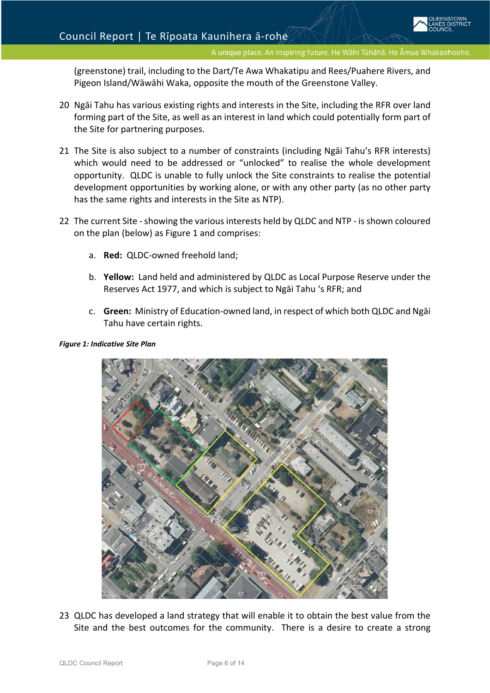(greenstone) trail, including to the Dart/Te Awa Whakatipu and Rees/Puahere Rivers, and Pigeon Island/Wāwāhi Waka, opposite the mouth of the Greenstone Valley.

- 20 Ngāi Tahu has various existing rights and interests in the Site, including the RFR over land forming part of the Site, as well as an interest in land which could potentially form part of the Site for partnering purposes.
- 21 The Site is also subject to a number of constraints (including Ngāi Tahu's RFR interests) which would need to be addressed or "unlocked" to realise the whole development opportunity. QLDC is unable to fully unlock the Site constraints to realise the potential development opportunities by working alone, or with any other party (as no other party has the same rights and interests in the Site as NTP).
- 22 The current Site showing the various interests held by QLDC and NTP is shown coloured on the plan (below) as Figure 1 and comprises:
	- a. **Red:** QLDC-owned freehold land;
	- b. **Yellow:** Land held and administered by QLDC as Local Purpose Reserve under the Reserves Act 1977, and which is subject to Ngāi Tahu 's RFR; and
	- c. **Green:** Ministry of Education-owned land, in respect of which both QLDC and Ngāi Tahu have certain rights.





23 QLDC has developed a land strategy that will enable it to obtain the best value from the Site and the best outcomes for the community. There is a desire to create a strong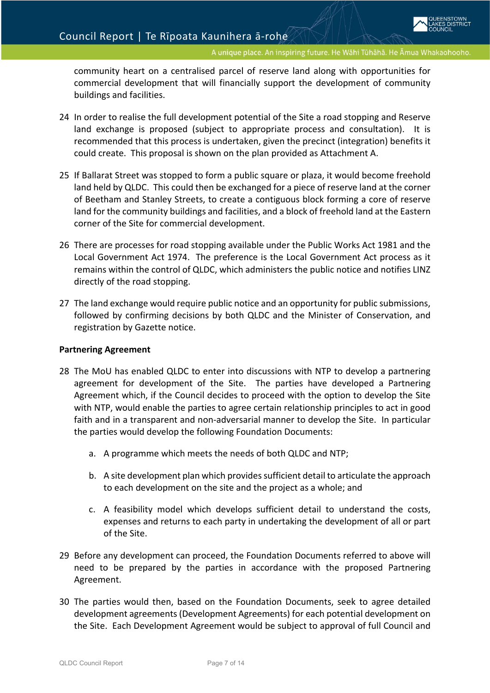community heart on a centralised parcel of reserve land along with opportunities for commercial development that will financially support the development of community buildings and facilities.

- 24 In order to realise the full development potential of the Site a road stopping and Reserve land exchange is proposed (subject to appropriate process and consultation). It is recommended that this process is undertaken, given the precinct (integration) benefits it could create. This proposal is shown on the plan provided as Attachment A.
- 25 If Ballarat Street was stopped to form a public square or plaza, it would become freehold land held by QLDC. This could then be exchanged for a piece of reserve land at the corner of Beetham and Stanley Streets, to create a contiguous block forming a core of reserve land for the community buildings and facilities, and a block of freehold land at the Eastern corner of the Site for commercial development.
- 26 There are processes for road stopping available under the Public Works Act 1981 and the Local Government Act 1974. The preference is the Local Government Act process as it remains within the control of QLDC, which administers the public notice and notifies LINZ directly of the road stopping.
- 27 The land exchange would require public notice and an opportunity for public submissions, followed by confirming decisions by both QLDC and the Minister of Conservation, and registration by Gazette notice.

#### **Partnering Agreement**

- 28 The MoU has enabled QLDC to enter into discussions with NTP to develop a partnering agreement for development of the Site. The parties have developed a Partnering Agreement which, if the Council decides to proceed with the option to develop the Site with NTP, would enable the parties to agree certain relationship principles to act in good faith and in a transparent and non-adversarial manner to develop the Site. In particular the parties would develop the following Foundation Documents:
	- a. A programme which meets the needs of both QLDC and NTP;
	- b. A site development plan which provides sufficient detail to articulate the approach to each development on the site and the project as a whole; and
	- c. A feasibility model which develops sufficient detail to understand the costs, expenses and returns to each party in undertaking the development of all or part of the Site.
- 29 Before any development can proceed, the Foundation Documents referred to above will need to be prepared by the parties in accordance with the proposed Partnering Agreement.
- 30 The parties would then, based on the Foundation Documents, seek to agree detailed development agreements (Development Agreements) for each potential development on the Site. Each Development Agreement would be subject to approval of full Council and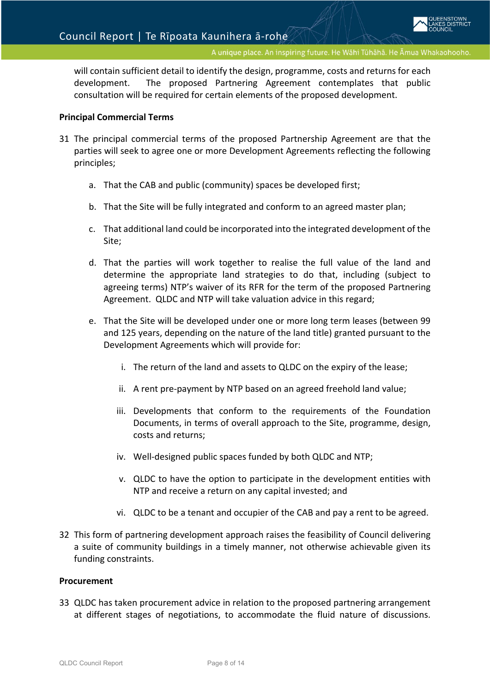will contain sufficient detail to identify the design, programme, costs and returns for each development. The proposed Partnering Agreement contemplates that public consultation will be required for certain elements of the proposed development.

#### **Principal Commercial Terms**

- 31 The principal commercial terms of the proposed Partnership Agreement are that the parties will seek to agree one or more Development Agreements reflecting the following principles;
	- a. That the CAB and public (community) spaces be developed first;
	- b. That the Site will be fully integrated and conform to an agreed master plan;
	- c. That additional land could be incorporated into the integrated development of the Site;
	- d. That the parties will work together to realise the full value of the land and determine the appropriate land strategies to do that, including (subject to agreeing terms) NTP's waiver of its RFR for the term of the proposed Partnering Agreement. QLDC and NTP will take valuation advice in this regard;
	- e. That the Site will be developed under one or more long term leases (between 99 and 125 years, depending on the nature of the land title) granted pursuant to the Development Agreements which will provide for:
		- i. The return of the land and assets to QLDC on the expiry of the lease;
		- ii. A rent pre-payment by NTP based on an agreed freehold land value;
		- iii. Developments that conform to the requirements of the Foundation Documents, in terms of overall approach to the Site, programme, design, costs and returns;
		- iv. Well-designed public spaces funded by both QLDC and NTP;
		- v. QLDC to have the option to participate in the development entities with NTP and receive a return on any capital invested; and
		- vi. QLDC to be a tenant and occupier of the CAB and pay a rent to be agreed.
- 32 This form of partnering development approach raises the feasibility of Council delivering a suite of community buildings in a timely manner, not otherwise achievable given its funding constraints.

#### **Procurement**

33 QLDC has taken procurement advice in relation to the proposed partnering arrangement at different stages of negotiations, to accommodate the fluid nature of discussions.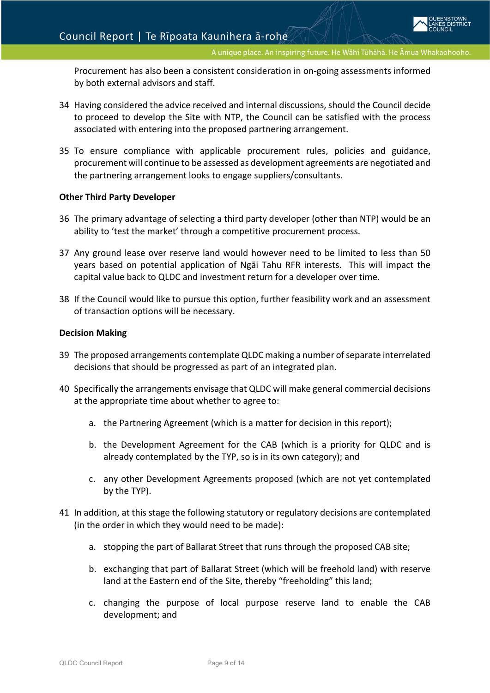Procurement has also been a consistent consideration in on-going assessments informed by both external advisors and staff.

- 34 Having considered the advice received and internal discussions, should the Council decide to proceed to develop the Site with NTP, the Council can be satisfied with the process associated with entering into the proposed partnering arrangement.
- 35 To ensure compliance with applicable procurement rules, policies and guidance, procurement will continue to be assessed as development agreements are negotiated and the partnering arrangement looks to engage suppliers/consultants.

#### **Other Third Party Developer**

- 36 The primary advantage of selecting a third party developer (other than NTP) would be an ability to 'test the market' through a competitive procurement process.
- 37 Any ground lease over reserve land would however need to be limited to less than 50 years based on potential application of Ngāi Tahu RFR interests. This will impact the capital value back to QLDC and investment return for a developer over time.
- 38 If the Council would like to pursue this option, further feasibility work and an assessment of transaction options will be necessary.

#### **Decision Making**

- 39 The proposed arrangements contemplate QLDC making a number of separate interrelated decisions that should be progressed as part of an integrated plan.
- 40 Specifically the arrangements envisage that QLDC will make general commercial decisions at the appropriate time about whether to agree to:
	- a. the Partnering Agreement (which is a matter for decision in this report);
	- b. the Development Agreement for the CAB (which is a priority for QLDC and is already contemplated by the TYP, so is in its own category); and
	- c. any other Development Agreements proposed (which are not yet contemplated by the TYP).
- 41 In addition, at this stage the following statutory or regulatory decisions are contemplated (in the order in which they would need to be made):
	- a. stopping the part of Ballarat Street that runs through the proposed CAB site;
	- b. exchanging that part of Ballarat Street (which will be freehold land) with reserve land at the Eastern end of the Site, thereby "freeholding" this land;
	- c. changing the purpose of local purpose reserve land to enable the CAB development; and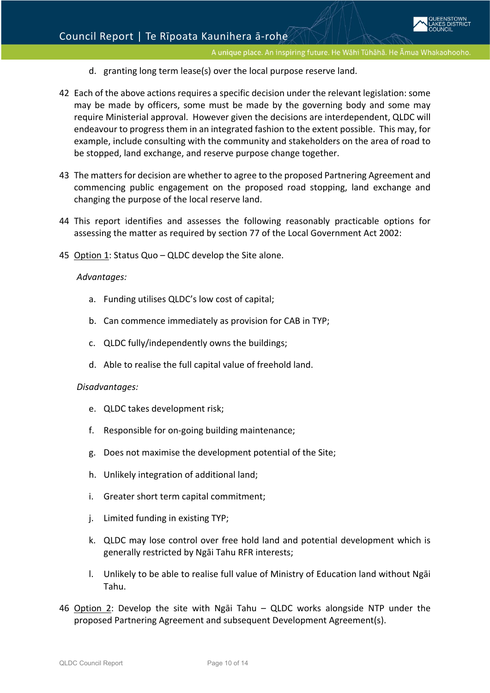- d. granting long term lease(s) over the local purpose reserve land.
- 42 Each of the above actions requires a specific decision under the relevant legislation: some may be made by officers, some must be made by the governing body and some may require Ministerial approval. However given the decisions are interdependent, QLDC will endeavour to progress them in an integrated fashion to the extent possible. This may, for example, include consulting with the community and stakeholders on the area of road to be stopped, land exchange, and reserve purpose change together.
- 43 The matters for decision are whether to agree to the proposed Partnering Agreement and commencing public engagement on the proposed road stopping, land exchange and changing the purpose of the local reserve land.
- 44 This report identifies and assesses the following reasonably practicable options for assessing the matter as required by section 77 of the Local Government Act 2002:
- 45 Option 1: Status Quo QLDC develop the Site alone.

#### *Advantages:*

- a. Funding utilises QLDC's low cost of capital;
- b. Can commence immediately as provision for CAB in TYP;
- c. QLDC fully/independently owns the buildings;
- d. Able to realise the full capital value of freehold land.

#### *Disadvantages:*

- e. QLDC takes development risk;
- f. Responsible for on-going building maintenance;
- g. Does not maximise the development potential of the Site;
- h. Unlikely integration of additional land;
- i. Greater short term capital commitment;
- j. Limited funding in existing TYP;
- k. QLDC may lose control over free hold land and potential development which is generally restricted by Ngāi Tahu RFR interests;
- l. Unlikely to be able to realise full value of Ministry of Education land without Ngāi Tahu.
- 46 Option 2: Develop the site with Ngāi Tahu QLDC works alongside NTP under the proposed Partnering Agreement and subsequent Development Agreement(s).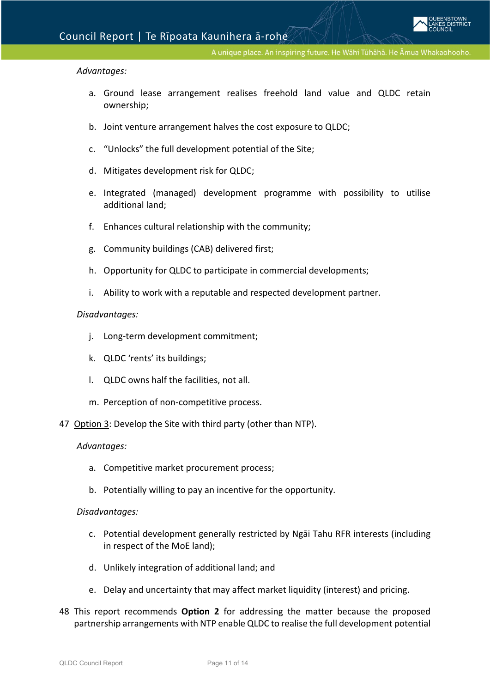#### *Advantages:*

- a. Ground lease arrangement realises freehold land value and QLDC retain ownership;
- b. Joint venture arrangement halves the cost exposure to QLDC;
- c. "Unlocks" the full development potential of the Site;
- d. Mitigates development risk for QLDC;
- e. Integrated (managed) development programme with possibility to utilise additional land;
- f. Enhances cultural relationship with the community;
- g. Community buildings (CAB) delivered first;
- h. Opportunity for QLDC to participate in commercial developments;
- i. Ability to work with a reputable and respected development partner.

#### *Disadvantages:*

- j. Long-term development commitment;
- k. QLDC 'rents' its buildings;
- l. QLDC owns half the facilities, not all.
- m. Perception of non-competitive process.
- 47 Option 3: Develop the Site with third party (other than NTP).

#### *Advantages:*

- a. Competitive market procurement process;
- b. Potentially willing to pay an incentive for the opportunity.

#### *Disadvantages:*

- c. Potential development generally restricted by Ngāi Tahu RFR interests (including in respect of the MoE land);
- d. Unlikely integration of additional land; and
- e. Delay and uncertainty that may affect market liquidity (interest) and pricing.
- 48 This report recommends **Option 2** for addressing the matter because the proposed partnership arrangements with NTP enable QLDC to realise the full development potential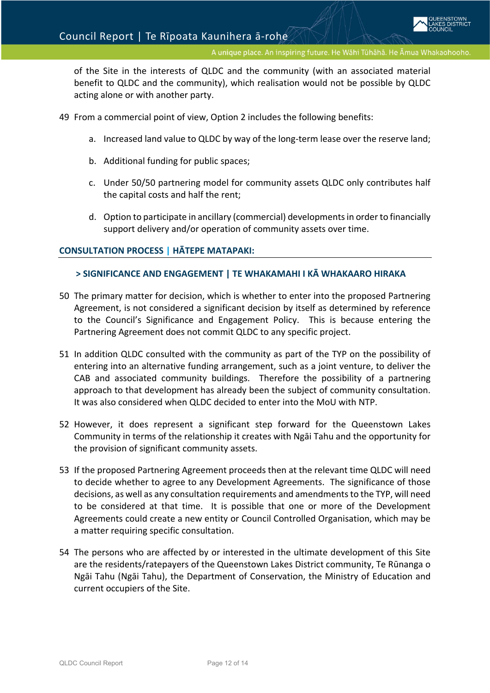of the Site in the interests of QLDC and the community (with an associated material benefit to QLDC and the community), which realisation would not be possible by QLDC acting alone or with another party.

- 49 From a commercial point of view, Option 2 includes the following benefits:
	- a. Increased land value to QLDC by way of the long-term lease over the reserve land;
	- b. Additional funding for public spaces;
	- c. Under 50/50 partnering model for community assets QLDC only contributes half the capital costs and half the rent;
	- d. Option to participate in ancillary (commercial) developmentsin order to financially support delivery and/or operation of community assets over time.

#### **CONSULTATION PROCESS | HĀTEPE MATAPAKI:**

#### **> SIGNIFICANCE AND ENGAGEMENT | [TE WHAKAMAHI I KĀ WHAKAARO HIRAKA](file://sqldcsvr02/share/KEEP/Agenda%20Report%20Template/Practice%20Notes%20for%20Writing%20Agenda%20Reports%20Mar%202015.pdf)**

- 50 The primary matter for decision, which is whether to enter into the proposed Partnering Agreement, is not considered a significant decision by itself as determined by reference to the [Council's Significance and Engagement Policy.](http://www.qldc.govt.nz/assets/Uploads/Council-Documents/Policies/Finance/QLDC-Significance-and-Engagement-Policy.pdf) This is because entering the Partnering Agreement does not commit QLDC to any specific project.
- 51 In addition QLDC consulted with the community as part of the TYP on the possibility of entering into an alternative funding arrangement, such as a joint venture, to deliver the CAB and associated community buildings. Therefore the possibility of a partnering approach to that development has already been the subject of community consultation. It was also considered when QLDC decided to enter into the MoU with NTP.
- 52 However, it does represent a significant step forward for the Queenstown Lakes Community in terms of the relationship it creates with Ngāi Tahu and the opportunity for the provision of significant community assets.
- 53 If the proposed Partnering Agreement proceeds then at the relevant time QLDC will need to decide whether to agree to any Development Agreements. The significance of those decisions, as well as any consultation requirements and amendments to the TYP, will need to be considered at that time. It is possible that one or more of the Development Agreements could create a new entity or Council Controlled Organisation, which may be a matter requiring specific consultation.
- 54 The persons who are affected by or interested in the ultimate development of this Site are the residents/ratepayers of the Queenstown Lakes District community, Te Rūnanga o Ngāi Tahu (Ngāi Tahu), the Department of Conservation, the Ministry of Education and current occupiers of the Site.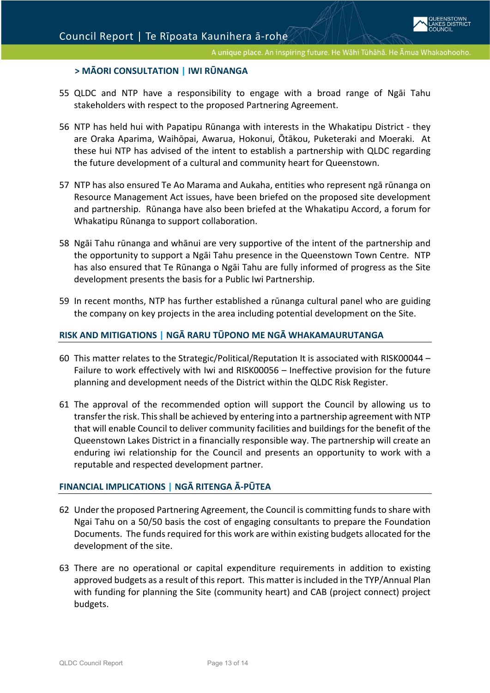#### **> MĀORI CONSULTATION | IWI RŪNANG[A](file://sqldcsvr02/share/KEEP/Agenda%20Report%20Template/Practice%20Notes%20for%20Writing%20Agenda%20Reports%20Mar%202015.pdf)**

- 55 QLDC and NTP have a responsibility to engage with a broad range of Ngāi Tahu stakeholders with respect to the proposed Partnering Agreement.
- 56 NTP has held hui with Papatipu Rūnanga with interests in the Whakatipu District they are Oraka Aparima, Waihōpai, Awarua, Hokonui, Ōtākou, Puketeraki and Moeraki. At these hui NTP has advised of the intent to establish a partnership with QLDC regarding the future development of a cultural and community heart for Queenstown.
- 57 NTP has also ensured Te Ao Marama and Aukaha, entities who represent ngā rūnanga on Resource Management Act issues, have been briefed on the proposed site development and partnership. Rūnanga have also been briefed at the Whakatipu Accord, a forum for Whakatipu Rūnanga to support collaboration.
- 58 Ngāi Tahu rūnanga and whānui are very supportive of the intent of the partnership and the opportunity to support a Ngāi Tahu presence in the Queenstown Town Centre. NTP has also ensured that Te Rūnanga o Ngāi Tahu are fully informed of progress as the Site development presents the basis for a Public Iwi Partnership.
- 59 In recent months, NTP has further established a rūnanga cultural panel who are guiding the company on key projects in the area including potential development on the Site.

#### **RISK AND MITIGATIONS | N[GĀ RARU TŪPONO ME NGĀ WHAKAMAURUTANGA](file://sqldcsvr02/share/KEEP/Agenda%20Report%20Template/Practice%20Notes%20for%20Writing%20Agenda%20Reports%20Mar%202015.pdf)**

- 60 This matter relates to the Strategic/Political/Reputation It is associated with RISK00044 Failure to work effectively with Iwi and RISK00056 – Ineffective provision for the future planning and development needs of the District within the QLDC Risk Register.
- 61 The approval of the recommended option will support the Council by allowing us to transfer the risk. This shall be achieved by entering into a partnership agreement with NTP that will enable Council to deliver community facilities and buildings for the benefit of the Queenstown Lakes District in a financially responsible way. The partnership will create an enduring iwi relationship for the Council and presents an opportunity to work with a reputable and respected development partner.

#### **[FINANCIAL IMPLICATIONS](file://sqldcsvr02/share/KEEP/Agenda%20Report%20Template/Practice%20Notes%20for%20Writing%20Agenda%20Reports%20Mar%202015.pdf) | NGĀ RITENGA Ā-PŪTEA**

- 62 Under the proposed Partnering Agreement, the Council is committing funds to share with Ngai Tahu on a 50/50 basis the cost of engaging consultants to prepare the Foundation Documents. The funds required for this work are within existing budgets allocated for the development of the site.
- 63 There are no operational or capital expenditure requirements in addition to existing approved budgets as a result of this report. This matter is included in the TYP/Annual Plan with funding for planning the Site (community heart) and CAB (project connect) project budgets.